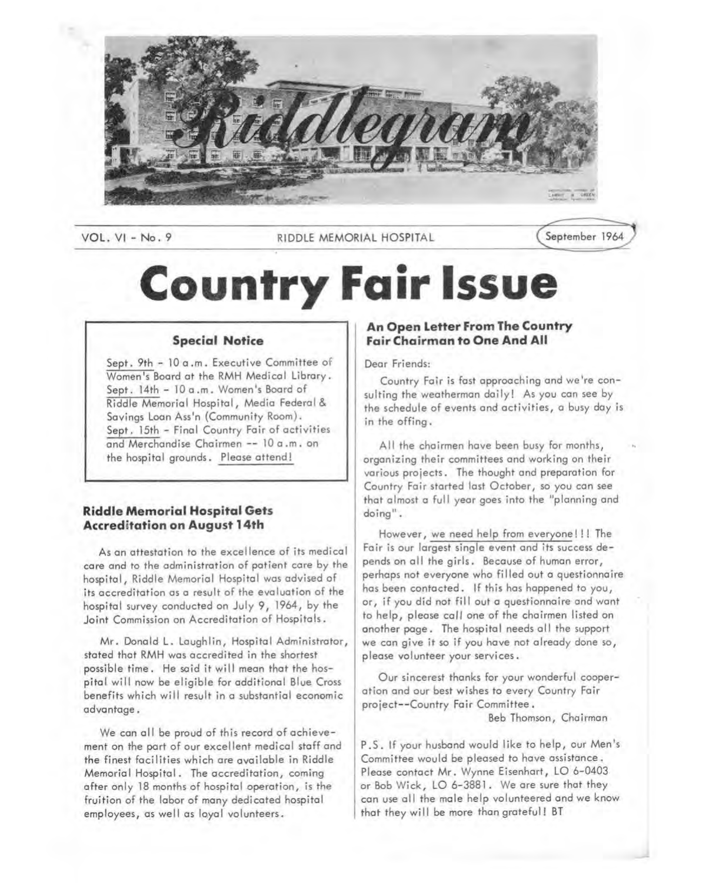

VOL. VI - No. 9 **RIDDLE MEMORIAL HOSPITAL** (September 1964

# **Country Fair Issue**

# **Special Notice**

Sept. 9th - 10 a .m. Executive Committee of Women's Board at the RMH Medical Library. Sept. 14th - 10 a.m. Women's Board of Riddle Memorial Hospital, Media Federal & Savings Loan Ass'n (Community Room). Sept. 15th - Final Country Fair of activities and Merchandise Chairmen -- 10 a .m. on the hospital grounds. Please attend!

# **Riddle Memorial Hospital Gets Accreditation on August 14th**

As an attestation to the excellence of its medical care and to the administration of patient care by the hospital, Riddle Memorial Hospital was advised of its accreditation as a result of the evaluation of the hospital survey conducted on July 9, 1964, by the Joint Commission on Accreditation of Hospitals.

Mr. Donald L. Laughlin, Hospital Administrator, stated that RMH was accredited in the shortest possible time. He said it will mean that the hospital will now be eligible for additional Blue Cross benefits which will result in a substantial economic advantage.

We can all be proud of this record of achievement on the part of our excellent medical staff and the finest facilities which are available in Riddle Memorial Hospital. The accreditation, coming after only 18 months of hospital operation, is the fruition of the labor of many dedicated hospital employees, as well as loyal volunteers.

# **An Open Letter From The Country Fair Chairman to One And All**

## Dear Friends:

Country Fair is fast approaching and we're consulting the weatherman daily! As you can see by the schedule of events and activities, a busy day is in the offing.

All the chairmen have been busy for months, organizing their committees and working on their various projects. The thought and preparation for Country Fair started last October, so you can see that almost a full year goes into the "planning and doing".

However, we need help from everyone!!! The Fair is our largest single event and its success depends on all the girls. Because of human error, perhaps not everyone who filled out a questionnaire has been contacted. If this has happened to you, or, if you did not fill out a questionnaire and want to help, please call one of the chairmen listed on another page. The hospital needs all the support we can give it so if you have not already done so, please volunteer your services.

Our sincerest thanks for your wonderful cooperation and our best wishes to every Country Fair project--Country Fair Committee.

Beb Thomson, Chairman

P .S. If your husband would like to help, our Men's Committee would be pleased to have assistance. Please contact Mr. Wynne Eisenhart, LO 6-0403 or Bob Wick, LO 6-3881 . We are sure that they can use all the male help volunteered and we know that they will be more than grateful! BT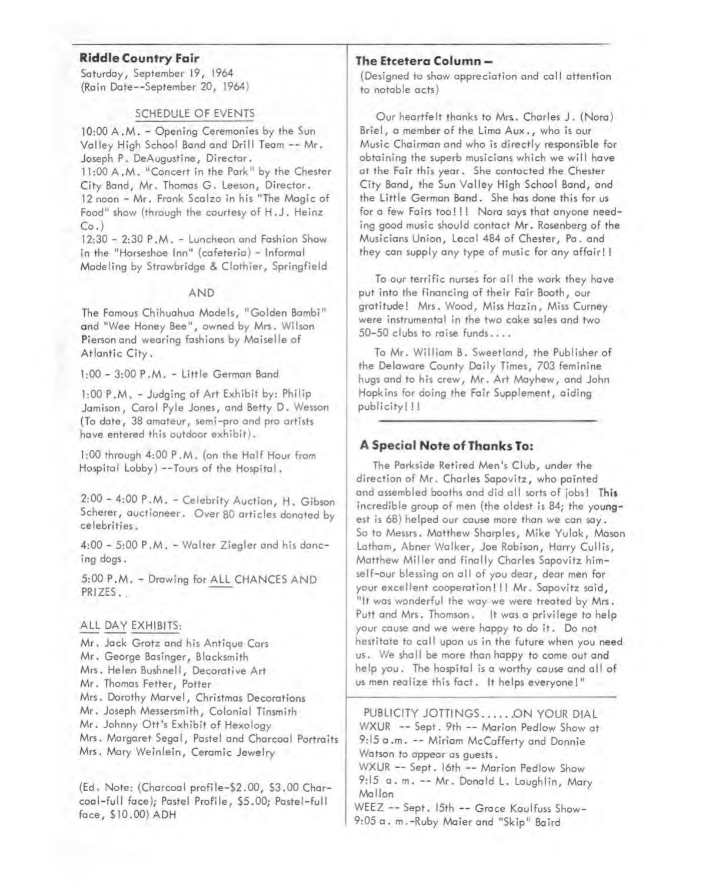#### **Riddle Country Fair**

Saturday, September 19, 1964 (Rain Date--September 20, 1964)

#### SCHEDULE OF EVENTS

10:00 A.M. - Opening Ceremonies by the Sun Valley High School Band and Drill Team -- Mr. Joseph P. DeAugustine, Director. 11:00 A.M. "Concert in the Park" by the Chester City Band, Mr. Thomas G. Leeson, Director. 12 noon - Mr. Frank Scalzo in his "The Magic of Food" show (through the courtesy of H.J. Heinz  $Co.$ )

12:30 - 2:30 P .M. - Luncheon ond Fashion Show in the "Horseshoe Inn" (cafeteria) - Informal Modeling by Strawbridge & Clothier, Springfield

#### AND

The Famous Chihuahua Models, "Golden Bambi" and "Wee Honey Bee", owned by Mrs. Wilson Pierson and wearing fashions by Maiselle of Atlantic City.

l:00- 3:00 P.M. - Little German Band

1:00 P .M. - Judgins of Art Exhibit by: Philip Jamison, Carol Pyle Jones, and Betty D. Wesson (To date, 38 amateur, semi-pro and pro artists ·have entered this outdoor exhibit).

1:00 through 4:00 P .M. (on the Half Hour from Hospital Lobby) --Tours of the Hospital.

2:00 - 4:00 P .M. - Celebrity Auction, H. Gibson Scherer, auctioneer. Over 80 articles donated by celebrities.

4:00 - 5:00 P .M. - Walter Ziegler and his dancing dogs.

5:00 P.M. - Drawing for ALL CHANCES AND PRIZES.

# ALL DAY EXHIBITS:

Mr. Jack Grotz and his Antique Cars Mr. George Basinger, Blacksmith Mrs. Helen Bushnell, Decorative Art Mr. Thomas Fetter, Potter Mrs. Dorothy Marvel, Christmas Decorations Mr. Joseph Messersmith, Colonial Tinsmith Mr. Johnny Ott 's Exhibit of Hexology Mrs. Margaret Segal, Pastel and Charcoal Portraits Mrs. Mary Weinlein, Ceramic Jewelry

(Ed. Note: (Charcoal profile-\$2.00, \$3.00 Charcoal-full face); Pastel Profile, \$5.00; Pastel-full face, \$10.00) ADH

# **The Etcetera Column -**

(Designed to show appreciation and call attention to notable acts)

Our heartfelt thanks to Mrs.. Charles J. (Nora) Briel, a member of the Lima Aux., who is our Music Chairman and who is directly responsible for obtaining the superb musicians which we will hove at the Fair this year. She contacted the Chester City Band, the Sun Valley High School Band, and the Little German Band. She has done this for us for a few Fairs too!!! Nora says that anyone needing good music should contact Mr. Rosenberg of the Musicians Union, Local 484 of Chester, Pa. and they can supply any type of music for any offoir! !

To our terrific nurses for all the work they have put into the financing of their Fair Booth, our gratitude! Mrs. Wood, Miss Hazin, Miss Curney were instrumental in the two cake sales and two  $50 - 50$  clubs to raise funds....

To Mr. William B. Sweetland, the Publisher of the Delaware County Daily Times, 703 feminine hugs and to his crew, Mr. Art Mayhew, and John Hopkins for doing the Fair Supplement, aiding publicity!!!

# **A Special Note of Thanks To:**

The Parkside Retired Men's Club, under the direction of Mr. Charles Sapovitz, who painted and assembled booths and did all sorts of jobs! **This**  incredible group of men (the oldest is 84; the youngest is 68) helped our cause more than we can say. So to Messrs. Matthew Sharples, Mike Yulak, Mason Latham, Abner Walker, Joe Robison, Harry Cullis, Matthew Miller and finally Charles Sapovitz himself-our blessing on all of you dear, dear men for your excellent cooperation!!! Mr. Sapovitz said, "It was wonderful the way we were treated by Mrs. Putt and Mrs. Thomson. It was a privilege to help your cause and we were happy to do it. Do not hestitate to call upon us in the future when you need us. We shall be more than happy to come out and help you. The hospital is a worthy cause and all of us men realize this fact. It helps everyone!"

PUBLICITY JOTTINGS ...... ON YOUR DIAL WXUR -- Sept. 9th -- Marion Pedlow Show at 9:15 a .m. -- Miriam McCafferty and Donnie Watson to appear as guests. WXUR -- Sept. 16th -- Marion Pedlow Show

9:15 a. m. -- Mr. Donald L. Laughlin, Mary Mallon WEEZ -- Sept. 15th -- Grace Kaulfuss Show-

9:05 a. m.-Ruby Maier and "Skip" Baird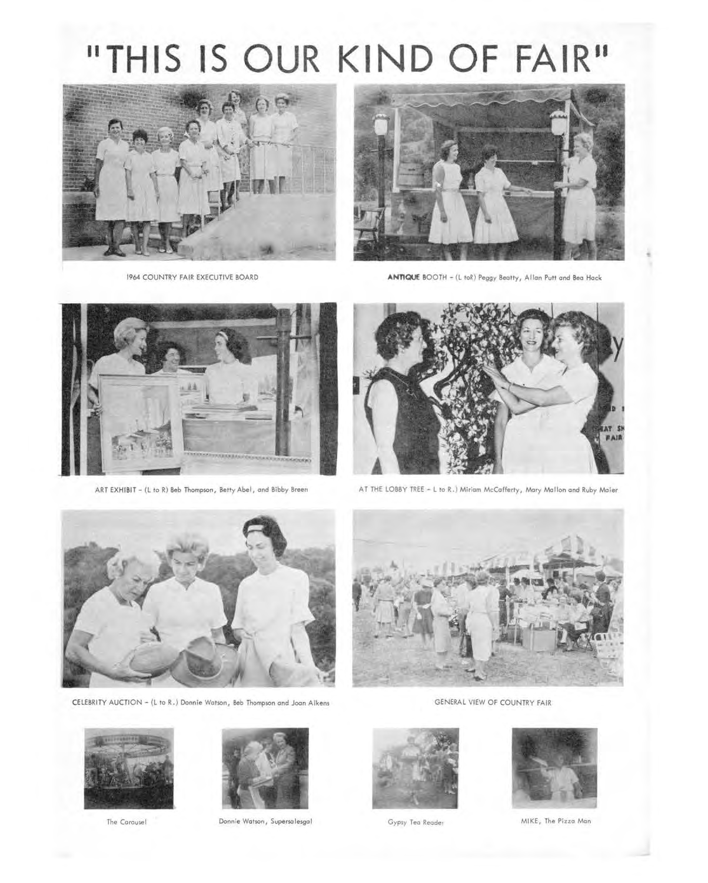# **11THIS IS OUR KIND OF FAIR"**





1964 COUNTRY FAIR EXECUTIVE BOARD **ANTIQUE** BOOTH - (L toR) Peggy Beatty, Allon Putt ond Beo Hock





ART EXHIBIT - (L to R) Beb Thompson, Betty Abel, and Bibby Breen AT THE LOBBY TREE - L to R.) Miriam McCofferty, Mary Mallon and Ruby Moier



CELEBRITY AUCTION - (L to R.) Donnie Watson, Beb Thompson and Joan Aikens GENERAL VIEW OF COUNTRY FAIR







The Carousel **Donnie Watson, Supersalesgal** Gypsy Tea Reader MIKE, The Pizza Man





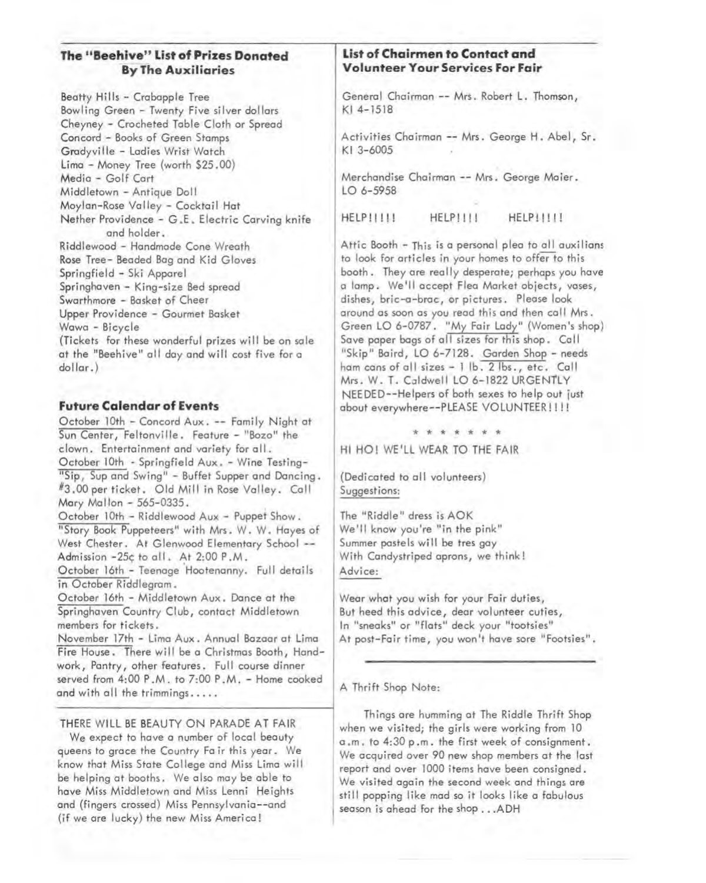# **The "Beehive" List of Prizes Donated By The Auxiliaries**

Beatty Hills - Crabapple Tree Bowling Green - Twenty Five silver dollars Cheyney - Crocheted Table Cloth or Spread Concord - Books of Green Stamps Gradyville - Ladies Wrist Watch Lima - Money Tree (worth \$25.00) Media - Golf Cart Middletown - Antique Doll Moylan-Rose Valley - Cocktail Hat Nether Providence - G.E. Electric Carving knife and holder. Riddlewood - Handmade Cone Wreath **Rose** Tree- Beaded Bag and Kid Gloves Springfield - Ski Apparel Springhaven - King-size Bed spread Swarthmore - Basket of Cheer Upper Providence - Gourmet Basket Wawa - Bicycle (Tickets for these wonderful prizes will be on sale at the "Beehive" all day and will cost five for a

# **Future Calendar of Events**

dollar.)

October 10th - Concord Aux. -- Family Night at Sun Center, Feltonville. Feature - "Bozo" the clown. Entertainment and variety for all. October 10th - Springfield Aux. - Wine Testing- "Sip, Sup and Swing" - Buffet Supper and Dancing. #3.00 per ticket. Old Mill in Rose Valley. Call Mary Mallon - 565-0335.

October 10th - Riddlewood Aux - Puppet Show. "Story Book Puppeteers" with Mrs. W. W. Hayes of West Chester. At Glenwood Elementary School --Admission -25¢ to all. At 2:00 P.M.

October 16th - Teenage Hootenanny. Full details in October Riddlegram.

October 16th - Middletown Aux. Dance at the Springhaven Country Club, contact Middletown members for tickets.

November 17th - Lima Aux. Annual Bazaar at Lima Fire House. There will be a Christmas Booth, Handwork, Pantry, other features. Full course dinner served from 4:00 P.M. to 7:00 P.M. - Home cooked and with all the trimmings.....

## THERE WILL BE BEAUTY ON PARADE AT FAIR

We expect to have a number of local beauty queens to grace the Country Fair this year. We know that Miss State College and Miss Lima will be helping at booths. We also may be able to have Miss Middletown and Miss Lenni Heights and (fingers crossed) Miss Pennsylvania--and (if we are lucky) the new Miss America!

# **List of Chairmen to Contact arid Volunteer Your Services For Fair**

General Chairman -- Mrs. Robert L. Thomson, Kl 4-1518

Activities Chairman -- Mrs. George H. Abel, Sr. Kl 3-6005

Merchandise Chairman -- Mrs. George Maier. LO 6-5958

HELP!!!!! HELP!!!! HELP!!!!!

Attic Booth - This is a personal plea to all auxilians to look for articles in your homes to offer to this booth. They are really desperate; perhaps you have a lamp. We'll accept Flea Market objects, vases, dishes, bric-a-brac, or pictures. Please look around as soon as you read this and then call Mrs. Green LO 6-0787. "My Fair Lady" (Women's shop) Save paper bags of all sizes for this shop. Call "Skip" Baird, LO 6-7128. Garden Shop - needs ham cans of all sizes - 1 lb. 2 lbs., etc. Call Mrs. W. T. Caldwell LO 6-1822 URGENTLY NEEDED--Helpers of both sexes to help out just about everywhere--PLEASE VOLUNTEER!!!!

\* \* \* \* \* \* \*

HI HO! WE'LL WEAR TO THE FAIR

(Dedicated to all volunteers) Suggestions:

The "Riddle" dress is AOK We'll know you're "in the pink" Summer pastels will be tres gay With Candystriped aprons, we think! Advice:

Wear what you wish for your Fair duties, But heed this advice, dear volunteer cuties, In "sneaks" or "flats" deck your "tootsies" At post-Fair time, you won't have sore "Footsies".

#### A Thrift Shop Note:

Things are humming at The Riddle Thrift Shop when we visited; the girls were working from 10 a .m. to 4:30 p .m. the first week of consignment. We acquired over 90 new shop members at the last report and over 1000 items have been consigned. We visited again the second week and things are still popping like mad so it looks like a fabulous season is ahead for the shop ... A DH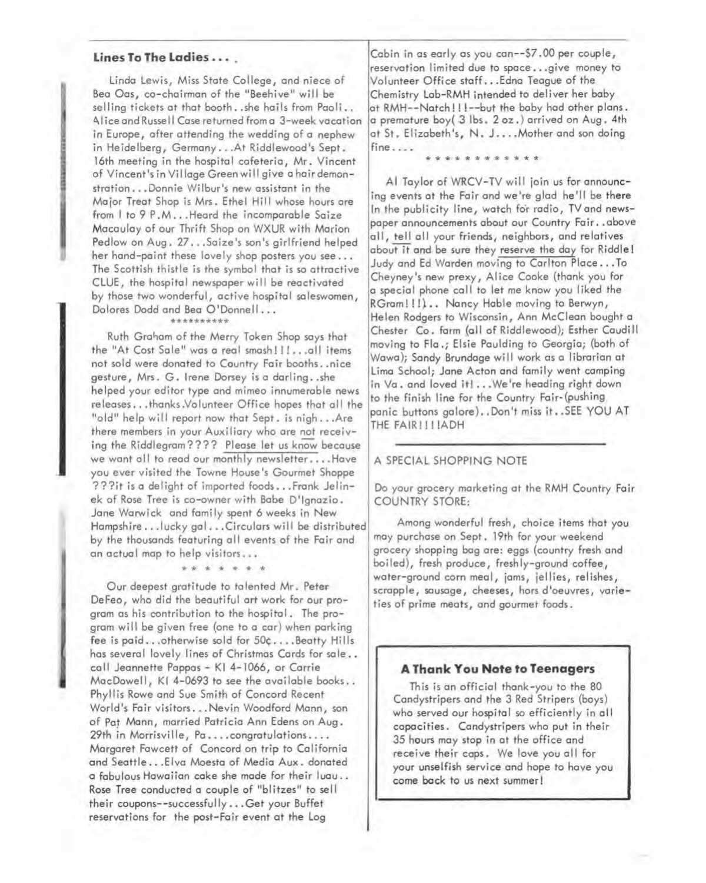# Lines To The Ladies . . . .

Linda Lewis, Miss State College, and niece of Bea Oas, co-chairman of the "Beehive" will be selling tickets at that booth .. she hails from Paoli .. Alice and Russell Case returned from a 3-week vacation in Europe, after attending the wedding of a nephew in Heidelberg, Germany ... At Riddlewood's Sept. 16th meeting in the hospital cafeteria, Mr. Vincent of Vincent's in Village Green will give a hair demonstration ... Donnie Wilbur's new assistant in the Major Treat Shop is Mrs. Ethel Hill whose hours are from I to 9 P.M... Heard the incomparable Saize Macaulay of our Thrift Shop on WXUR with Marion Pedlow on Aug. 27 ... Saize's son's girlfriend helped her hand-paint these lovely shop posters you see ... The Scottish thistle is the symbol that is so attractive CLUE, the hospital newspaper will be reactivated by those two wonderful, active hospital saleswomen, Dolores Dodd and Bea O'Donnell...

#### \*\*\*\*\*\*\*\*\*\*

Ruth Graham of the Merry Token Shop says that the "At Cost Sale" was a real smash!!! ... all items not sold were donated to Country Fair booths .. nice gesture, Mrs. G. Irene Dorsey is a darling..she helped your editor type and mimeo innumerable news releases...thanks.Volunteer Office hopes that all the "old" help will report now that Sept. is nigh...Are there members in your Auxiliary who are not receiving the Riddlegram???? Please let us know because we want all to read our monthly newsletter.... Have you ever visited the Towne House's Gourmet Shoppe ???it is a delight of imported foods •.. Frank Jelinek of Rose Tree is co-owner with Babe D'lgnazio. Jane Warwick and family spent 6 weeks in New Hampshire ... lucky gal... Circulars will be distributed by the thousands featuring all events of the Fair and an actual map to help visitors ...

Our deepest gratitude to talented Mr. Peter DeFeo, who did the beautiful art work for our program as his contribution to the hospital. The program will be given free {one to a car) when parking fee is paid ... otherwise sold for 50c... . Beatty Hills has several lovely lines of Christmas Cards for sale... call Jeannette Pappas - Kl 4-1066, or Corrie MacDowell, Kl 4-0693 to see the available books .. Phyllis Rowe and Sue Smith of Concord Recent World's Fair visitors...Nevin Woodford Mann, son of Paf Mann, married Patricia Ann Edens on Aug. 29th in Morrisville, Pa....congratulations.... Margaret Fawcett of Concord on trip to California and Seattle ... Elva Moesta of Media Aux. donated a fabulous Hawaiian cake she made for their luau .. Rose Tree conducted a couple of "blitzes" to sell their coupons--successful ly ... Get your Buffet reservations for the post-Fair event at the Log

\*\*\*\*\*\*\*

Cabin in as early as you can--\$7 .00 per couple, reservation limited due to space ... give money to Volunteer Office staff •.. Edna Teague of the Chemistry Lab-RMH intended to deliver her baby at RMH--Natch!!!--but the baby had other plans. a premature boy( 3 lbs. 2 oz.) arrived on Aug. 4th at St. Elizabeth's, N. J.... Mother and son doing fine ....

#### \* \* \* \* \* \* \* \* \* \* \* \*

Al Taylor of WRCV-TV will join us for announcing events at the Fair and we're glad he'll be there In the publicity line, watch for radio, TVand newspaper announcements about our Country Fair. . above all, tell all your friends, neighbors, and relatives about it and be sure they reserve the day for Riddle! Judy and Ed Warden moving to Carlton Place ... To Cheyney's new prexy, Alice Cooke (thank you for a special phone call to let me know you liked the RGram!!!).. Nancy Hable moving to Berwyn, Helen Rodgers to Wisconsin, Ann McClean bought a Chester Co. farm (all of Riddlewood); Esther Caudill moving to Fla.; Elsie Paulding to Georgia; {both of Wawa); Sandy Brundage will work as a librarian at Lima School; Jane Acton and family went camping in Va. and loved it! ... We're heading right down to the finish line for the Country Fair-{pushing, panic buttons galore) •. Don't miss it. . SEE YOU AT THE FAIR!!!!ADH

#### A SPECIAL SHOPPING NOTE

Do your grocery marketing at the RMH Country Fair COUNTRY STORE:

Among wonderful fresh, choice items that you may purchase on Sept. 19th for your weekend grocery shopping bag are: eggs {country fresh and boiled), fresh produce, freshly-ground coffee, water-ground corn meal, jams, jellies, relishes, scrapple, sausage, cheeses, hors d'oeuvres, varieties of prime meats, and gourmet foods.

## **A Thank You Note to Teenagers**

This is an official thank-you to the 80 Candystripers and the 3 Red Stripers (boys) who served our hospital so efficiently in all capacities. Candystripers who put in their 35 hours may stop in at the office and receive their caps. We love you all for your unselfish service and hope to hove you come back to us next summer!